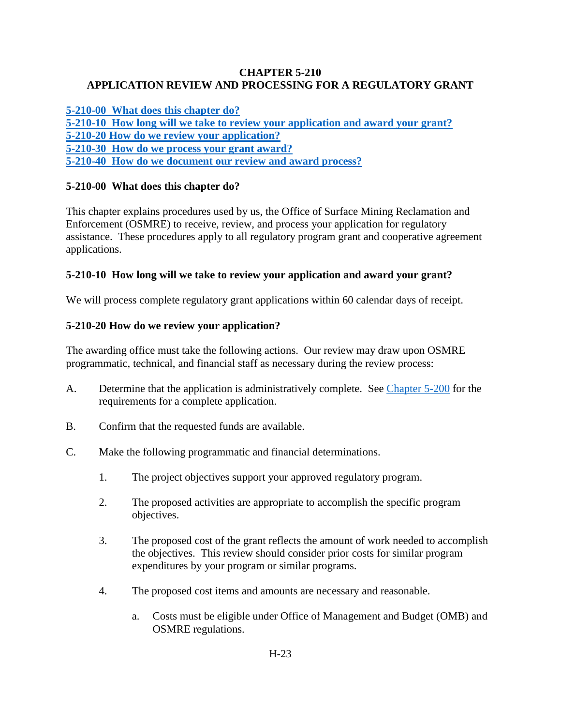### **CHAPTER 5-210 APPLICATION REVIEW AND PROCESSING FOR A REGULATORY GRANT**

**[5-210-00 What does this chapter do?](#page-0-0) 5-210-10 How [long will we take to review your application and award your grant?](#page-0-1) [5-210-20 How do we review your application?](#page-0-2) [5-210-30 How do we process your grant award?](#page-2-0) [5-210-40 How do we document our review and award process?](#page-2-1)**

# <span id="page-0-0"></span>**5-210-00 What does this chapter do?**

This chapter explains procedures used by us, the Office of Surface Mining Reclamation and Enforcement (OSMRE) to receive, review, and process your application for regulatory assistance. These procedures apply to all regulatory program grant and cooperative agreement applications.

## <span id="page-0-1"></span>**5-210-10 How long will we take to review your application and award your grant?**

We will process complete regulatory grant applications within 60 calendar days of receipt.

# <span id="page-0-2"></span>**5-210-20 How do we review your application?**

The awarding office must take the following actions. Our review may draw upon OSMRE programmatic, technical, and financial staff as necessary during the review process:

- A. Determine that the application is administratively complete. See [Chapter 5-200](https://www.osmre.gov/lrg/fam/5-200.pdf) for the requirements for a complete application.
- B. Confirm that the requested funds are available.
- C. Make the following programmatic and financial determinations.
	- 1. The project objectives support your approved regulatory program.
	- 2. The proposed activities are appropriate to accomplish the specific program objectives.
	- 3. The proposed cost of the grant reflects the amount of work needed to accomplish the objectives. This review should consider prior costs for similar program expenditures by your program or similar programs.
	- 4. The proposed cost items and amounts are necessary and reasonable.
		- a. Costs must be eligible under Office of Management and Budget (OMB) and OSMRE regulations.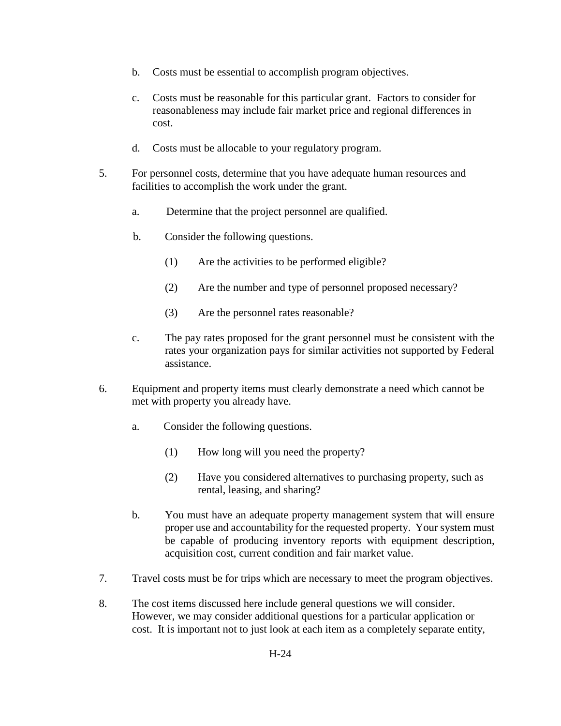- b. Costs must be essential to accomplish program objectives.
- c. Costs must be reasonable for this particular grant. Factors to consider for reasonableness may include fair market price and regional differences in cost.
- d. Costs must be allocable to your regulatory program.
- 5. For personnel costs, determine that you have adequate human resources and facilities to accomplish the work under the grant.
	- a. Determine that the project personnel are qualified.
	- b. Consider the following questions.
		- (1) Are the activities to be performed eligible?
		- (2) Are the number and type of personnel proposed necessary?
		- (3) Are the personnel rates reasonable?
	- c. The pay rates proposed for the grant personnel must be consistent with the rates your organization pays for similar activities not supported by Federal assistance.
- 6. Equipment and property items must clearly demonstrate a need which cannot be met with property you already have.
	- a. Consider the following questions.
		- (1) How long will you need the property?
		- (2) Have you considered alternatives to purchasing property, such as rental, leasing, and sharing?
	- b. You must have an adequate property management system that will ensure proper use and accountability for the requested property. Your system must be capable of producing inventory reports with equipment description, acquisition cost, current condition and fair market value.
- 7. Travel costs must be for trips which are necessary to meet the program objectives.
- 8. The cost items discussed here include general questions we will consider. However, we may consider additional questions for a particular application or cost. It is important not to just look at each item as a completely separate entity,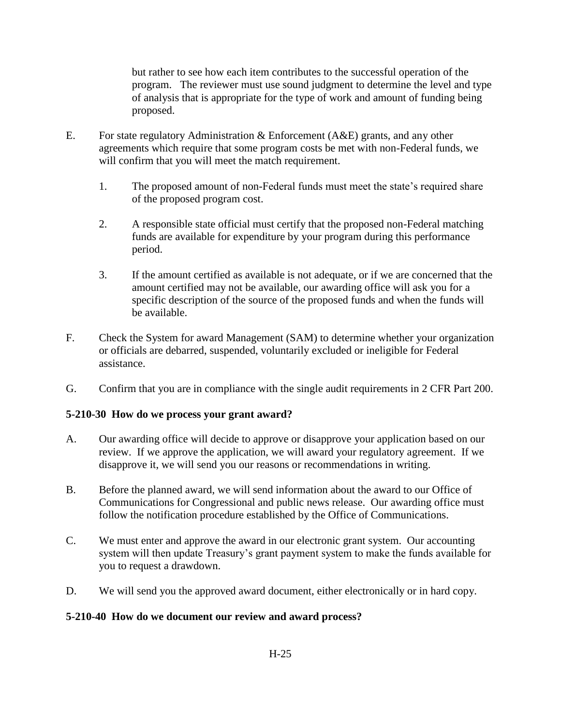but rather to see how each item contributes to the successful operation of the program. The reviewer must use sound judgment to determine the level and type of analysis that is appropriate for the type of work and amount of funding being proposed.

- E. For state regulatory Administration & Enforcement (A&E) grants, and any other agreements which require that some program costs be met with non-Federal funds, we will confirm that you will meet the match requirement.
	- 1. The proposed amount of non-Federal funds must meet the state's required share of the proposed program cost.
	- 2. A responsible state official must certify that the proposed non-Federal matching funds are available for expenditure by your program during this performance period.
	- 3. If the amount certified as available is not adequate, or if we are concerned that the amount certified may not be available, our awarding office will ask you for a specific description of the source of the proposed funds and when the funds will be available.
- F. Check the System for award Management (SAM) to determine whether your organization or officials are debarred, suspended, voluntarily excluded or ineligible for Federal assistance.
- G. Confirm that you are in compliance with the single audit requirements in 2 CFR Part 200.

## <span id="page-2-0"></span>**5-210-30 How do we process your grant award?**

- A. Our awarding office will decide to approve or disapprove your application based on our review. If we approve the application, we will award your regulatory agreement. If we disapprove it, we will send you our reasons or recommendations in writing.
- B. Before the planned award, we will send information about the award to our Office of Communications for Congressional and public news release. Our awarding office must follow the notification procedure established by the Office of Communications.
- C. We must enter and approve the award in our electronic grant system. Our accounting system will then update Treasury's grant payment system to make the funds available for you to request a drawdown.
- D. We will send you the approved award document, either electronically or in hard copy.

## <span id="page-2-1"></span>**5-210-40 How do we document our review and award process?**